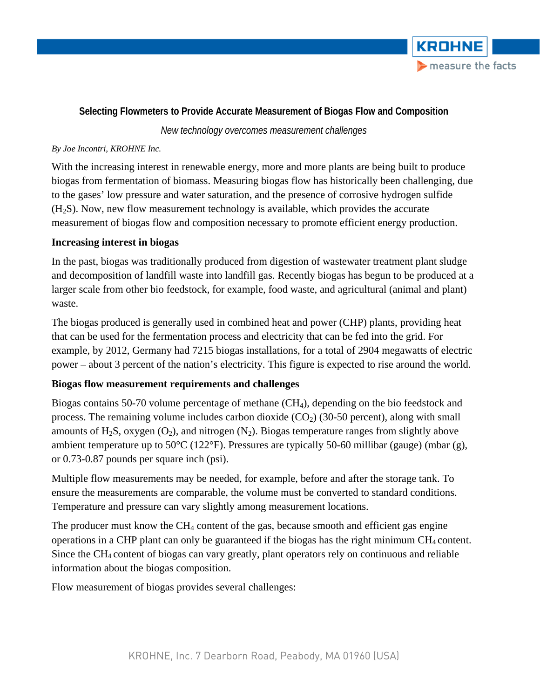

# **Selecting Flowmeters to Provide Accurate Measurement of Biogas Flow and Composition**

*New technology overcomes measurement challenges*

### *By Joe Incontri, KROHNE Inc.*

With the increasing interest in renewable energy, more and more plants are being built to produce biogas from fermentation of biomass. Measuring biogas flow has historically been challenging, due to the gases' low pressure and water saturation, and the presence of corrosive hydrogen sulfide (H2S). Now, new flow measurement technology is available, which provides the accurate measurement of biogas flow and composition necessary to promote efficient energy production.

## **Increasing interest in biogas**

In the past, biogas was traditionally produced from digestion of wastewater treatment plant sludge and decomposition of landfill waste into landfill gas. Recently biogas has begun to be produced at a larger scale from other bio feedstock, for example, food waste, and agricultural (animal and plant) waste.

The biogas produced is generally used in combined heat and power (CHP) plants, providing heat that can be used for the fermentation process and electricity that can be fed into the grid. For example, by 2012, Germany had 7215 biogas installations, for a total of 2904 megawatts of electric power – about 3 percent of the nation's electricity. This figure is expected to rise around the world.

## **Biogas flow measurement requirements and challenges**

Biogas contains 50-70 volume percentage of methane (CH<sub>4</sub>), depending on the bio feedstock and process. The remaining volume includes carbon dioxide  $(CO<sub>2</sub>)$  (30-50 percent), along with small amounts of H<sub>2</sub>S, oxygen  $(O_2)$ , and nitrogen  $(N_2)$ . Biogas temperature ranges from slightly above ambient temperature up to 50°C (122°F). Pressures are typically 50-60 millibar (gauge) (mbar (g), or 0.73-0.87 pounds per square inch (psi).

Multiple flow measurements may be needed, for example, before and after the storage tank. To ensure the measurements are comparable, the volume must be converted to standard conditions. Temperature and pressure can vary slightly among measurement locations.

The producer must know the  $CH_4$  content of the gas, because smooth and efficient gas engine operations in a CHP plant can only be guaranteed if the biogas has the right minimum  $CH_4$  content. Since the  $CH_4$  content of biogas can vary greatly, plant operators rely on continuous and reliable information about the biogas composition.

Flow measurement of biogas provides several challenges: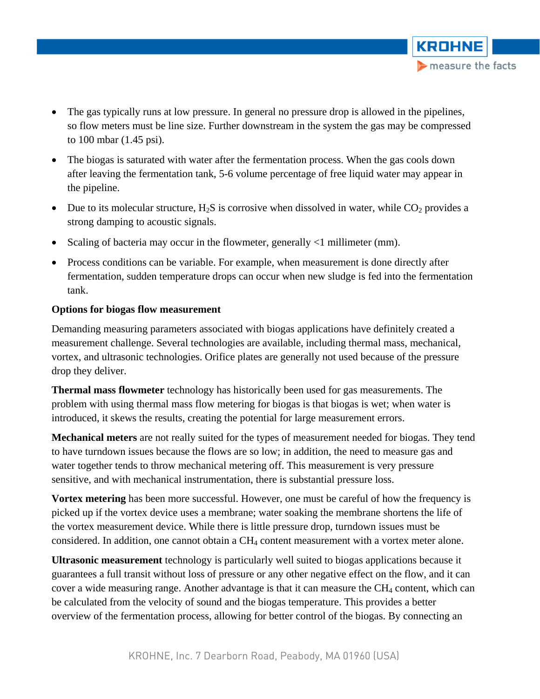• The gas typically runs at low pressure. In general no pressure drop is allowed in the pipelines, so flow meters must be line size. Further downstream in the system the gas may be compressed to 100 mbar (1.45 psi).

**KROHNE** 

measure the facts

- The biogas is saturated with water after the fermentation process. When the gas cools down after leaving the fermentation tank, 5-6 volume percentage of free liquid water may appear in the pipeline.
- Due to its molecular structure,  $H_2S$  is corrosive when dissolved in water, while  $CO_2$  provides a strong damping to acoustic signals.
- Scaling of bacteria may occur in the flowmeter, generally <1 millimeter (mm).
- Process conditions can be variable. For example, when measurement is done directly after fermentation, sudden temperature drops can occur when new sludge is fed into the fermentation tank.

#### **Options for biogas flow measurement**

Demanding measuring parameters associated with biogas applications have definitely created a measurement challenge. Several technologies are available, including thermal mass, mechanical, vortex, and ultrasonic technologies. Orifice plates are generally not used because of the pressure drop they deliver.

**Thermal mass flowmeter** technology has historically been used for gas measurements. The problem with using thermal mass flow metering for biogas is that biogas is wet; when water is introduced, it skews the results, creating the potential for large measurement errors.

**Mechanical meters** are not really suited for the types of measurement needed for biogas. They tend to have turndown issues because the flows are so low; in addition, the need to measure gas and water together tends to throw mechanical metering off. This measurement is very pressure sensitive, and with mechanical instrumentation, there is substantial pressure loss.

**Vortex metering** has been more successful. However, one must be careful of how the frequency is picked up if the vortex device uses a membrane; water soaking the membrane shortens the life of the vortex measurement device. While there is little pressure drop, turndown issues must be considered. In addition, one cannot obtain a CH4 content measurement with a vortex meter alone.

**Ultrasonic measurement** technology is particularly well suited to biogas applications because it guarantees a full transit without loss of pressure or any other negative effect on the flow, and it can cover a wide measuring range. Another advantage is that it can measure the  $CH_4$  content, which can be calculated from the velocity of sound and the biogas temperature. This provides a better overview of the fermentation process, allowing for better control of the biogas. By connecting an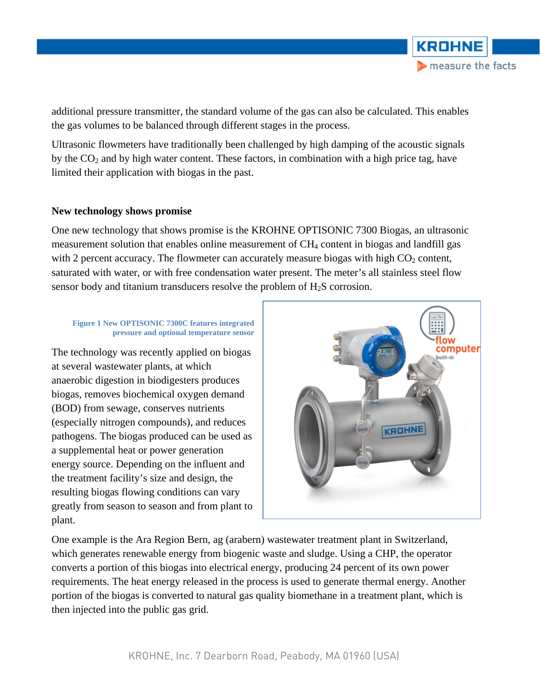

additional pressure transmitter, the standard volume of the gas can also be calculated. This enables the gas volumes to be balanced through different stages in the process.

Ultrasonic flowmeters have traditionally been challenged by high damping of the acoustic signals by the  $CO<sub>2</sub>$  and by high water content. These factors, in combination with a high price tag, have limited their application with biogas in the past.

#### **New technology shows promise**

One new technology that shows promise is the KROHNE OPTISONIC 7300 Biogas, an ultrasonic measurement solution that enables online measurement of  $CH<sub>4</sub>$  content in biogas and landfill gas with 2 percent accuracy. The flowmeter can accurately measure biogas with high  $CO<sub>2</sub>$  content, saturated with water, or with free condensation water present. The meter's all stainless steel flow sensor body and titanium transducers resolve the problem of H<sub>2</sub>S corrosion.

#### **Figure 1 New OPTISONIC 7300C features integrated pressure and optional temperature sensor**

The technology was recently applied on biogas at several wastewater plants, at which anaerobic digestion in biodigesters produces biogas, removes biochemical oxygen demand (BOD) from sewage, conserves nutrients (especially nitrogen compounds), and reduces pathogens. The biogas produced can be used as a supplemental heat or power generation energy source. Depending on the influent and the treatment facility's size and design, the resulting biogas flowing conditions can vary greatly from season to season and from plant to plant.



One example is the Ara Region Bern, ag (arabern) wastewater treatment plant in Switzerland, which generates renewable energy from biogenic waste and sludge. Using a CHP, the operator converts a portion of this biogas into electrical energy, producing 24 percent of its own power requirements. The heat energy released in the process is used to generate thermal energy. Another portion of the biogas is converted to natural gas quality biomethane in a treatment plant, which is then injected into the public gas grid.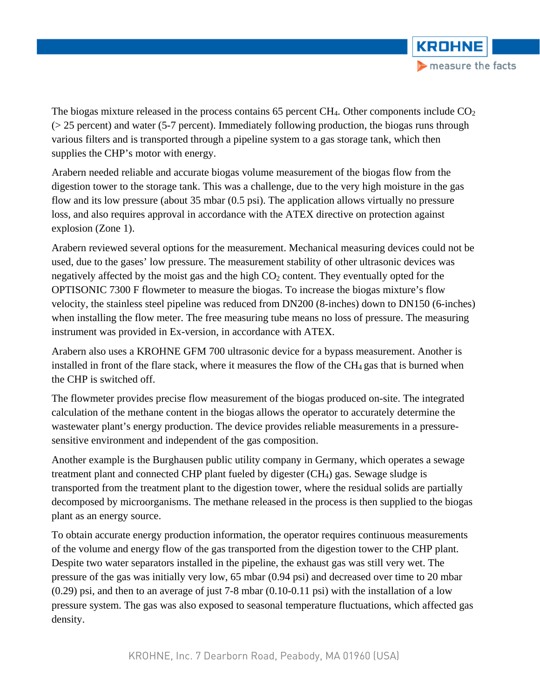

The biogas mixture released in the process contains 65 percent CH<sub>4</sub>. Other components include  $CO<sub>2</sub>$ (> 25 percent) and water (5-7 percent). Immediately following production, the biogas runs through various filters and is transported through a pipeline system to a gas storage tank, which then supplies the CHP's motor with energy.

Arabern needed reliable and accurate biogas volume measurement of the biogas flow from the digestion tower to the storage tank. This was a challenge, due to the very high moisture in the gas flow and its low pressure (about 35 mbar (0.5 psi). The application allows virtually no pressure loss, and also requires approval in accordance with the ATEX directive on protection against explosion (Zone 1).

Arabern reviewed several options for the measurement. Mechanical measuring devices could not be used, due to the gases' low pressure. The measurement stability of other ultrasonic devices was negatively affected by the moist gas and the high  $CO<sub>2</sub>$  content. They eventually opted for the OPTISONIC 7300 F flowmeter to measure the biogas. To increase the biogas mixture's flow velocity, the stainless steel pipeline was reduced from DN200 (8-inches) down to DN150 (6-inches) when installing the flow meter. The free measuring tube means no loss of pressure. The measuring instrument was provided in Ex-version, in accordance with ATEX.

Arabern also uses a KROHNE GFM 700 ultrasonic device for a bypass measurement. Another is installed in front of the flare stack, where it measures the flow of the  $CH_4$  gas that is burned when the CHP is switched off.

The flowmeter provides precise flow measurement of the biogas produced on-site. The integrated calculation of the methane content in the biogas allows the operator to accurately determine the wastewater plant's energy production. The device provides reliable measurements in a pressuresensitive environment and independent of the gas composition.

Another example is the Burghausen public utility company in Germany, which operates a sewage treatment plant and connected CHP plant fueled by digester  $(CH<sub>4</sub>)$  gas. Sewage sludge is transported from the treatment plant to the digestion tower, where the residual solids are partially decomposed by microorganisms. The methane released in the process is then supplied to the biogas plant as an energy source.

To obtain accurate energy production information, the operator requires continuous measurements of the volume and energy flow of the gas transported from the digestion tower to the CHP plant. Despite two water separators installed in the pipeline, the exhaust gas was still very wet. The pressure of the gas was initially very low, 65 mbar (0.94 psi) and decreased over time to 20 mbar (0.29) psi, and then to an average of just 7-8 mbar (0.10-0.11 psi) with the installation of a low pressure system. The gas was also exposed to seasonal temperature fluctuations, which affected gas density.